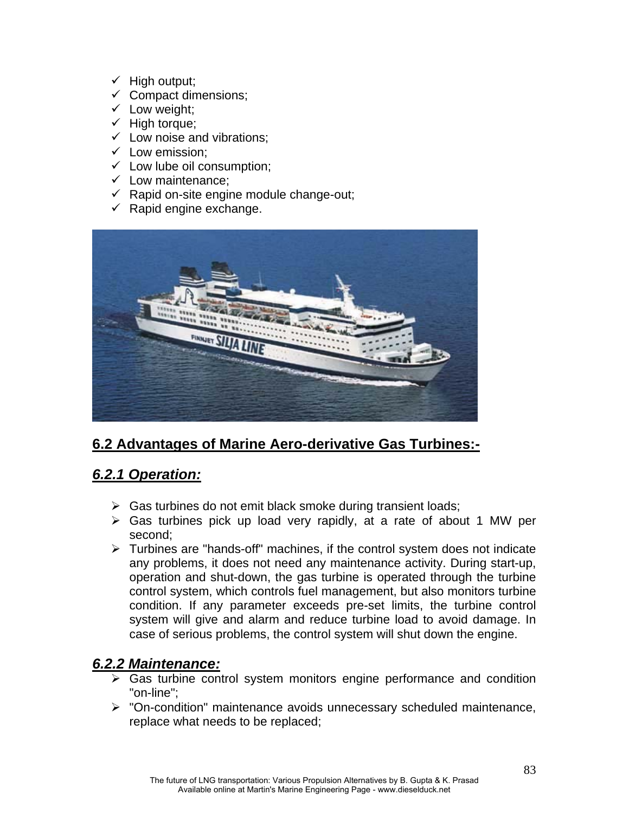- $\checkmark$  High output;
- $\checkmark$  Compact dimensions;
- $\checkmark$  Low weight;
- $\checkmark$  High torque;
- $\checkmark$  Low noise and vibrations:
- $\checkmark$  Low emission;
- $\checkmark$  Low lube oil consumption;
- $\checkmark$  Low maintenance;
- $\checkmark$  Rapid on-site engine module change-out;
- $\checkmark$  Rapid engine exchange.



# **6.2 Advantages of Marine Aero-derivative Gas Turbines:-**

### *6.2.1 Operation:*

- $\triangleright$  Gas turbines do not emit black smoke during transient loads;
- $\triangleright$  Gas turbines pick up load very rapidly, at a rate of about 1 MW per second;
- ¾ Turbines are "hands-off" machines, if the control system does not indicate any problems, it does not need any maintenance activity. During start-up, operation and shut-down, the gas turbine is operated through the turbine control system, which controls fuel management, but also monitors turbine condition. If any parameter exceeds pre-set limits, the turbine control system will give and alarm and reduce turbine load to avoid damage. In case of serious problems, the control system will shut down the engine.

### *6.2.2 Maintenance:*

- $\triangleright$  Gas turbine control system monitors engine performance and condition "on-line";
- ¾ "On-condition" maintenance avoids unnecessary scheduled maintenance, replace what needs to be replaced;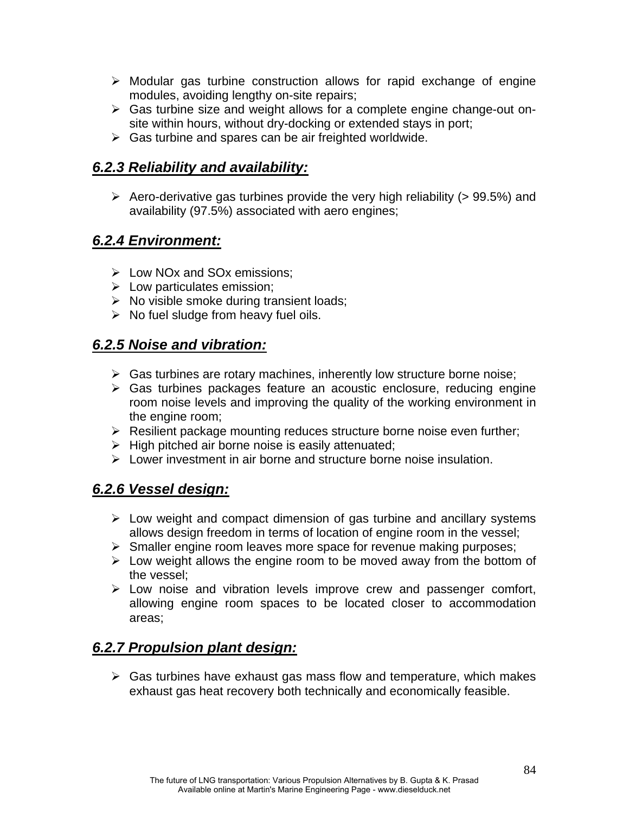- $\triangleright$  Modular gas turbine construction allows for rapid exchange of engine modules, avoiding lengthy on-site repairs;
- ¾ Gas turbine size and weight allows for a complete engine change-out onsite within hours, without dry-docking or extended stays in port;
- $\triangleright$  Gas turbine and spares can be air freighted worldwide.

# *6.2.3 Reliability and availability:*

 $\triangleright$  Aero-derivative gas turbines provide the very high reliability (> 99.5%) and availability (97.5%) associated with aero engines;

# *6.2.4 Environment:*

- $\triangleright$  Low NOx and SOx emissions:
- $\triangleright$  Low particulates emission;
- $\triangleright$  No visible smoke during transient loads;
- $\triangleright$  No fuel sludge from heavy fuel oils.

### *6.2.5 Noise and vibration:*

- $\triangleright$  Gas turbines are rotary machines, inherently low structure borne noise;
- $\triangleright$  Gas turbines packages feature an acoustic enclosure, reducing engine room noise levels and improving the quality of the working environment in the engine room;
- $\triangleright$  Resilient package mounting reduces structure borne noise even further;
- $\triangleright$  High pitched air borne noise is easily attenuated;
- $\geq$  Lower investment in air borne and structure borne noise insulation.

# *6.2.6 Vessel design:*

- $\triangleright$  Low weight and compact dimension of gas turbine and ancillary systems allows design freedom in terms of location of engine room in the vessel;
- $\triangleright$  Smaller engine room leaves more space for revenue making purposes;
- $\triangleright$  Low weight allows the engine room to be moved away from the bottom of the vessel;
- $\triangleright$  Low noise and vibration levels improve crew and passenger comfort, allowing engine room spaces to be located closer to accommodation areas;

# *6.2.7 Propulsion plant design:*

 $\triangleright$  Gas turbines have exhaust gas mass flow and temperature, which makes exhaust gas heat recovery both technically and economically feasible.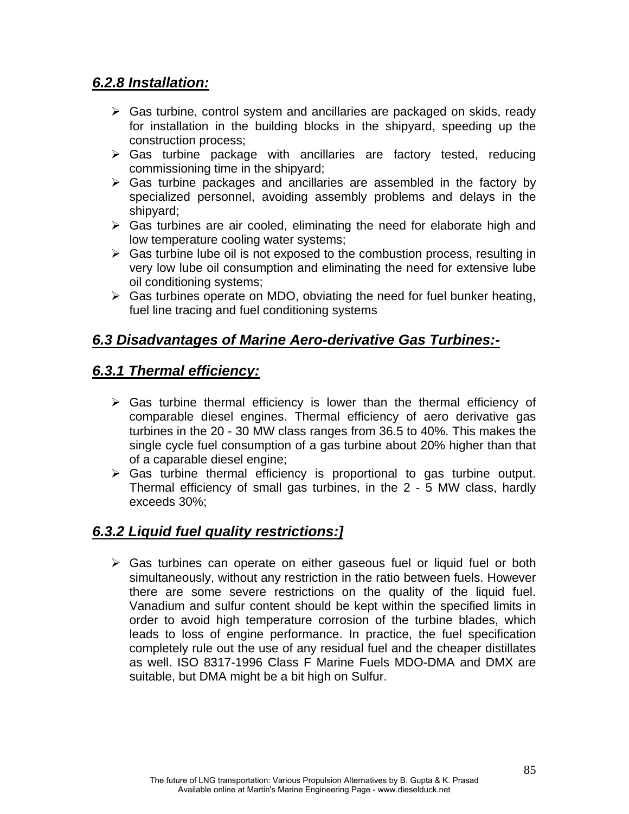#### *6.2.8 Installation:*

- $\triangleright$  Gas turbine, control system and ancillaries are packaged on skids, ready for installation in the building blocks in the shipyard, speeding up the construction process;
- $\triangleright$  Gas turbine package with ancillaries are factory tested, reducing commissioning time in the shipyard;
- $\triangleright$  Gas turbine packages and ancillaries are assembled in the factory by specialized personnel, avoiding assembly problems and delays in the shipyard;
- $\triangleright$  Gas turbines are air cooled, eliminating the need for elaborate high and low temperature cooling water systems;
- $\triangleright$  Gas turbine lube oil is not exposed to the combustion process, resulting in very low lube oil consumption and eliminating the need for extensive lube oil conditioning systems;
- $\triangleright$  Gas turbines operate on MDO, obviating the need for fuel bunker heating, fuel line tracing and fuel conditioning systems

### *6.3 Disadvantages of Marine Aero-derivative Gas Turbines:-*

### *6.3.1 Thermal efficiency:*

- $\triangleright$  Gas turbine thermal efficiency is lower than the thermal efficiency of comparable diesel engines. Thermal efficiency of aero derivative gas turbines in the 20 - 30 MW class ranges from 36.5 to 40%. This makes the single cycle fuel consumption of a gas turbine about 20% higher than that of a caparable diesel engine;
- $\triangleright$  Gas turbine thermal efficiency is proportional to gas turbine output. Thermal efficiency of small gas turbines, in the 2 - 5 MW class, hardly exceeds 30%;

### *6.3.2 Liquid fuel quality restrictions:]*

 $\triangleright$  Gas turbines can operate on either gaseous fuel or liquid fuel or both simultaneously, without any restriction in the ratio between fuels. However there are some severe restrictions on the quality of the liquid fuel. Vanadium and sulfur content should be kept within the specified limits in order to avoid high temperature corrosion of the turbine blades, which leads to loss of engine performance. In practice, the fuel specification completely rule out the use of any residual fuel and the cheaper distillates as well. ISO 8317-1996 Class F Marine Fuels MDO-DMA and DMX are suitable, but DMA might be a bit high on Sulfur.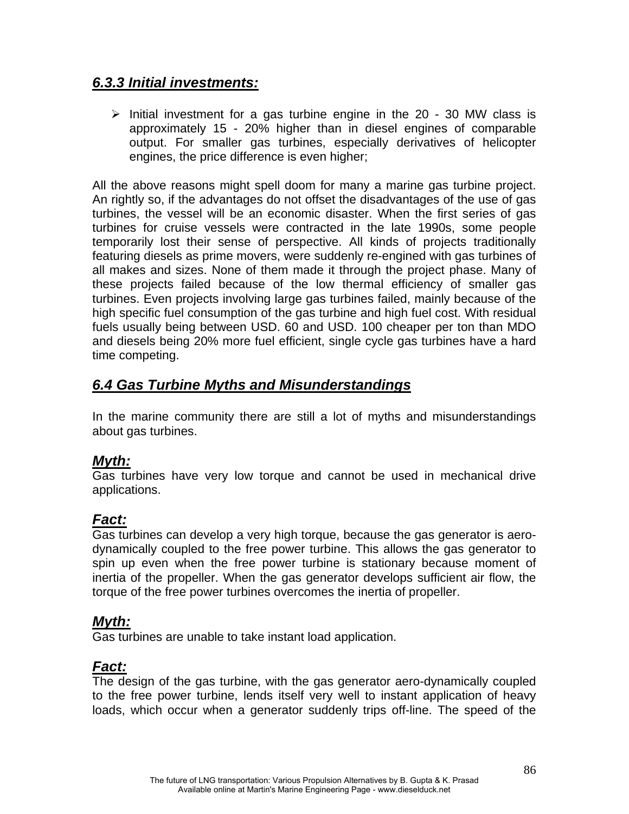#### *6.3.3 Initial investments:*

 $\triangleright$  Initial investment for a gas turbine engine in the 20 - 30 MW class is approximately 15 - 20% higher than in diesel engines of comparable output. For smaller gas turbines, especially derivatives of helicopter engines, the price difference is even higher;

All the above reasons might spell doom for many a marine gas turbine project. An rightly so, if the advantages do not offset the disadvantages of the use of gas turbines, the vessel will be an economic disaster. When the first series of gas turbines for cruise vessels were contracted in the late 1990s, some people temporarily lost their sense of perspective. All kinds of projects traditionally featuring diesels as prime movers, were suddenly re-engined with gas turbines of all makes and sizes. None of them made it through the project phase. Many of these projects failed because of the low thermal efficiency of smaller gas turbines. Even projects involving large gas turbines failed, mainly because of the high specific fuel consumption of the gas turbine and high fuel cost. With residual fuels usually being between USD. 60 and USD. 100 cheaper per ton than MDO and diesels being 20% more fuel efficient, single cycle gas turbines have a hard time competing.

### *6.4 Gas Turbine Myths and Misunderstandings*

In the marine community there are still a lot of myths and misunderstandings about gas turbines.

### *Myth:*

Gas turbines have very low torque and cannot be used in mechanical drive applications.

### *Fact:*

Gas turbines can develop a very high torque, because the gas generator is aerodynamically coupled to the free power turbine. This allows the gas generator to spin up even when the free power turbine is stationary because moment of inertia of the propeller. When the gas generator develops sufficient air flow, the torque of the free power turbines overcomes the inertia of propeller.

#### *Myth:*

Gas turbines are unable to take instant load application.

### *Fact:*

The design of the gas turbine, with the gas generator aero-dynamically coupled to the free power turbine, lends itself very well to instant application of heavy loads, which occur when a generator suddenly trips off-line. The speed of the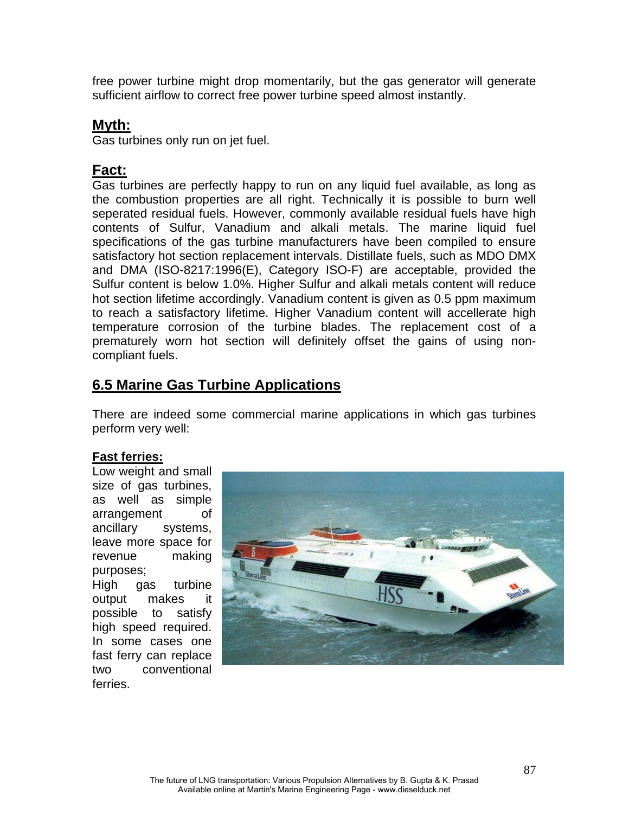free power turbine might drop momentarily, but the gas generator will generate sufficient airflow to correct free power turbine speed almost instantly.

#### **Myth:**

Gas turbines only run on jet fuel.

#### **Fact:**

Gas turbines are perfectly happy to run on any liquid fuel available, as long as the combustion properties are all right. Technically it is possible to burn well seperated residual fuels. However, commonly available residual fuels have high contents of Sulfur, Vanadium and alkali metals. The marine liquid fuel specifications of the gas turbine manufacturers have been compiled to ensure satisfactory hot section replacement intervals. Distillate fuels, such as MDO DMX and DMA (ISO-8217:1996(E), Category ISO-F) are acceptable, provided the Sulfur content is below 1.0%. Higher Sulfur and alkali metals content will reduce hot section lifetime accordingly. Vanadium content is given as 0.5 ppm maximum to reach a satisfactory lifetime. Higher Vanadium content will accellerate high temperature corrosion of the turbine blades. The replacement cost of a prematurely worn hot section will definitely offset the gains of using noncompliant fuels.

### **6.5 Marine Gas Turbine Applications**

There are indeed some commercial marine applications in which gas turbines perform very well:

#### **Fast ferries:**

Low weight and small size of gas turbines, as well as simple arrangement of ancillary systems, leave more space for revenue making purposes; High gas turbine output makes it possible to satisfy high speed required. In some cases one fast ferry can replace two conventional ferries.

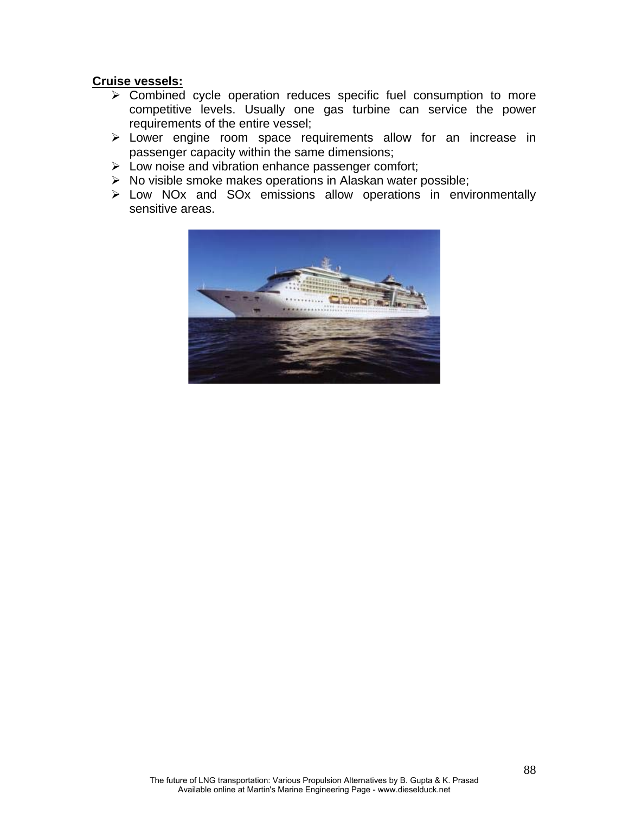#### **Cruise vessels:**

- $\triangleright$  Combined cycle operation reduces specific fuel consumption to more competitive levels. Usually one gas turbine can service the power requirements of the entire vessel;
- $\triangleright$  Lower engine room space requirements allow for an increase in passenger capacity within the same dimensions;
- ¾ Low noise and vibration enhance passenger comfort;
- $\triangleright$  No visible smoke makes operations in Alaskan water possible;
- ¾ Low NOx and SOx emissions allow operations in environmentally sensitive areas.

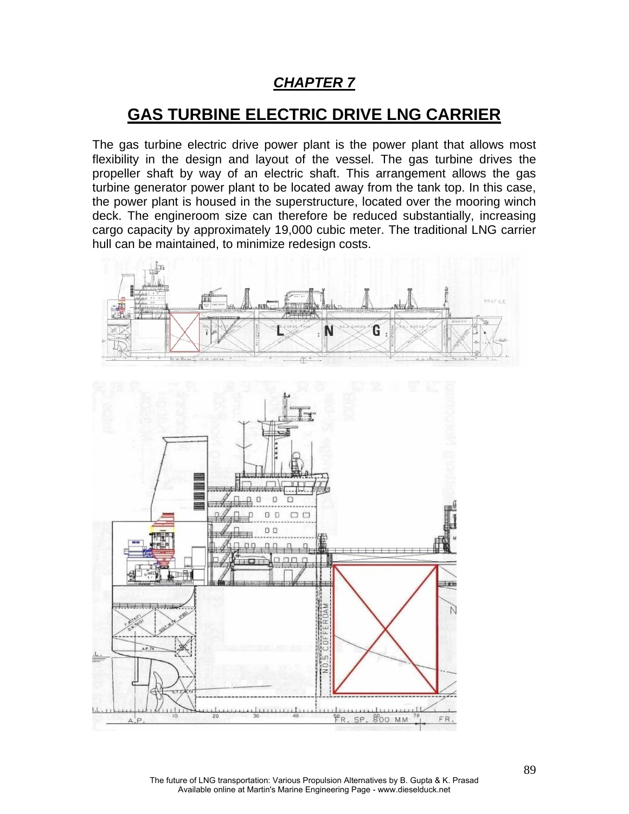## *CHAPTER 7*

# **GAS TURBINE ELECTRIC DRIVE LNG CARRIER**

The gas turbine electric drive power plant is the power plant that allows most flexibility in the design and layout of the vessel. The gas turbine drives the propeller shaft by way of an electric shaft. This arrangement allows the gas turbine generator power plant to be located away from the tank top. In this case, the power plant is housed in the superstructure, located over the mooring winch deck. The engineroom size can therefore be reduced substantially, increasing cargo capacity by approximately 19,000 cubic meter. The traditional LNG carrier hull can be maintained, to minimize redesign costs.



The future of LNG transportation: Various Propulsion Alternatives by B. Gupta & K. Prasad Available online at Martin's Marine Engineering Page - www.dieselduck.net